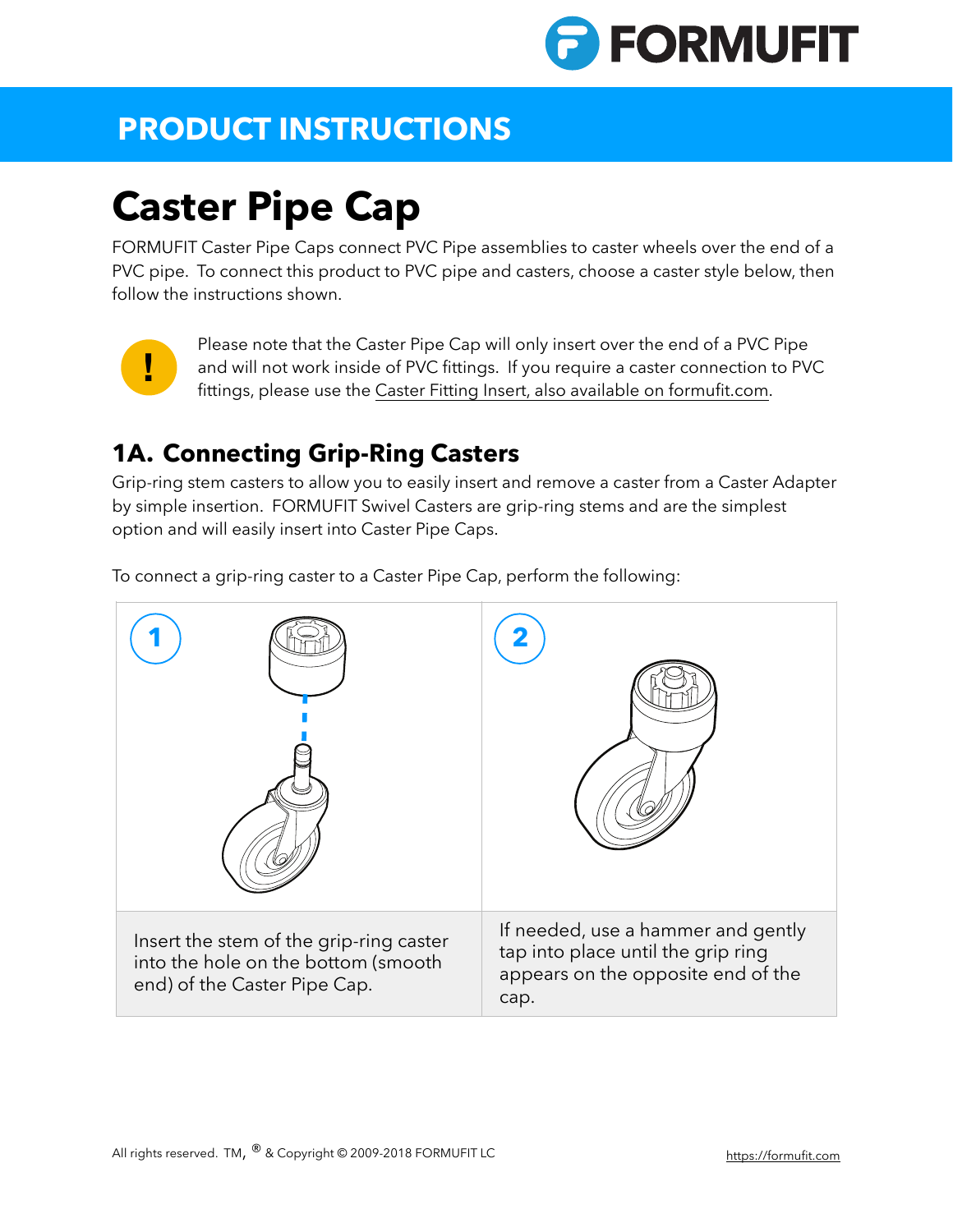

## **PRODUCT INSTRUCTIONS**

# **Caster Pipe Cap**

FORMUFIT Caster Pipe Caps connect PVC Pipe assemblies to caster wheels over the end of a PVC pipe. To connect this product to PVC pipe and casters, choose a caster style below, then follow the instructions shown.



Please note that the Caster Pipe Cap will only insert over the end of a PVC Pipe and will not work inside of PVC fittings. If you require a caster connection to PVC fittings, please use the [Caster Fitting Insert, also available on formufit.com](http:///products/1-1-4-in-pvc-caster-fitting-insert-for-7-16-in-caster-post-f114cf7-wh).

#### **1A. Connecting Grip-Ring Casters**

Grip-ring stem casters to allow you to easily insert and remove a caster from a Caster Adapter by simple insertion. FORMUFIT Swivel Casters are grip-ring stems and are the simplest option and will easily insert into Caster Pipe Caps.

To connect a grip-ring caster to a Caster Pipe Cap, perform the following:

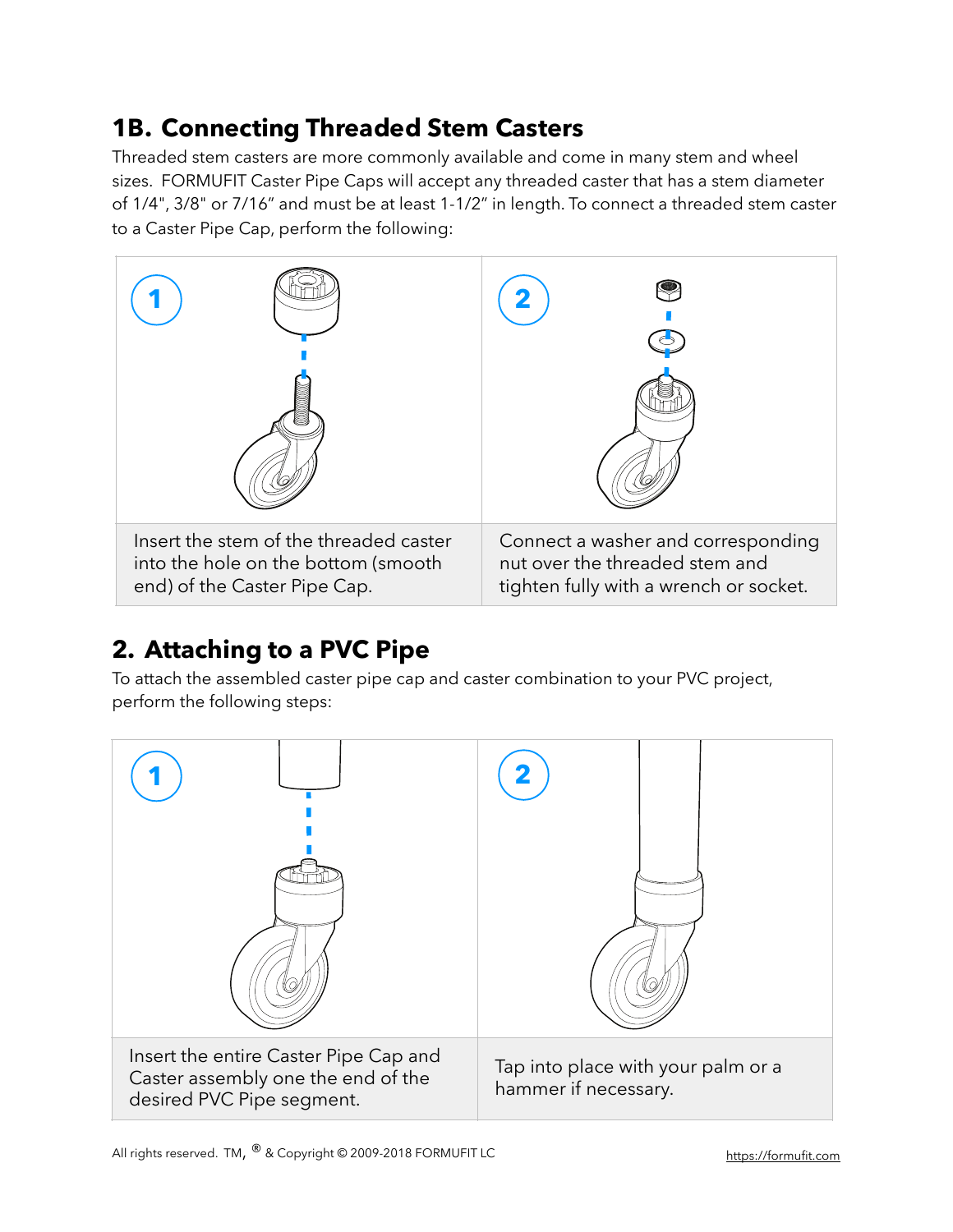#### **1B. Connecting Threaded Stem Casters**

Threaded stem casters are more commonly available and come in many stem and wheel sizes. FORMUFIT Caster Pipe Caps will accept any threaded caster that has a stem diameter of 1/4", 3/8" or 7/16" and must be at least 1-1/2" in length. To connect a threaded stem caster to a Caster Pipe Cap, perform the following:



### **2. Attaching to a PVC Pipe**

To attach the assembled caster pipe cap and caster combination to your PVC project, perform the following steps: